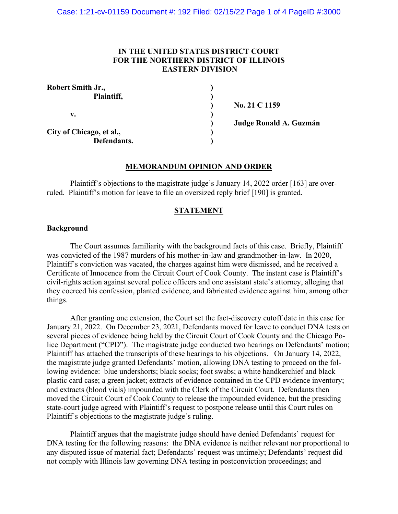# **IN THE UNITED STATES DISTRICT COURT FOR THE NORTHERN DISTRICT OF ILLINOIS EASTERN DIVISION**

| <b>Robert Smith Jr.,</b> |  |
|--------------------------|--|
| Plaintiff,               |  |
|                          |  |
| v.                       |  |
|                          |  |
| City of Chicago, et al., |  |
| Defendants.              |  |

**) No. 21 C 1159**

**) Judge Ronald A. Guzmán**

## **MEMORANDUM OPINION AND ORDER**

Plaintiff's objections to the magistrate judge's January 14, 2022 order [163] are overruled. Plaintiff's motion for leave to file an oversized reply brief [190] is granted.

### **STATEMENT**

#### **Background**

The Court assumes familiarity with the background facts of this case. Briefly, Plaintiff was convicted of the 1987 murders of his mother-in-law and grandmother-in-law. In 2020, Plaintiff's conviction was vacated, the charges against him were dismissed, and he received a Certificate of Innocence from the Circuit Court of Cook County. The instant case is Plaintiff's civil-rights action against several police officers and one assistant state's attorney, alleging that they coerced his confession, planted evidence, and fabricated evidence against him, among other things.

After granting one extension, the Court set the fact-discovery cutoff date in this case for January 21, 2022. On December 23, 2021, Defendants moved for leave to conduct DNA tests on several pieces of evidence being held by the Circuit Court of Cook County and the Chicago Police Department ("CPD"). The magistrate judge conducted two hearings on Defendants' motion; Plaintiff has attached the transcripts of these hearings to his objections. On January 14, 2022, the magistrate judge granted Defendants' motion, allowing DNA testing to proceed on the following evidence: blue undershorts; black socks; foot swabs; a white handkerchief and black plastic card case; a green jacket; extracts of evidence contained in the CPD evidence inventory; and extracts (blood vials) impounded with the Clerk of the Circuit Court. Defendants then moved the Circuit Court of Cook County to release the impounded evidence, but the presiding state-court judge agreed with Plaintiff's request to postpone release until this Court rules on Plaintiff's objections to the magistrate judge's ruling.

Plaintiff argues that the magistrate judge should have denied Defendants' request for DNA testing for the following reasons: the DNA evidence is neither relevant nor proportional to any disputed issue of material fact; Defendants' request was untimely; Defendants' request did not comply with Illinois law governing DNA testing in postconviction proceedings; and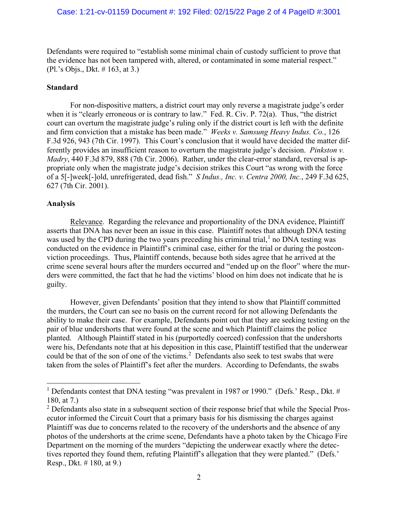Defendants were required to "establish some minimal chain of custody sufficient to prove that the evidence has not been tampered with, altered, or contaminated in some material respect." (Pl.'s Objs., Dkt. # 163, at 3.)

### **Standard**

For non-dispositive matters, a district court may only reverse a magistrate judge's order when it is "clearly erroneous or is contrary to law." Fed. R. Civ. P. 72(a). Thus, "the district court can overturn the magistrate judge's ruling only if the district court is left with the definite and firm conviction that a mistake has been made." *Weeks v. Samsung Heavy Indus. Co.*, 126 F.3d 926, 943 (7th Cir. 1997). This Court's conclusion that it would have decided the matter differently provides an insufficient reason to overturn the magistrate judge's decision. *Pinkston v. Madry*, 440 F.3d 879, 888 (7th Cir. 2006). Rather, under the clear-error standard, reversal is appropriate only when the magistrate judge's decision strikes this Court "as wrong with the force of a 5[-]week[-]old, unrefrigerated, dead fish." *S Indus., Inc. v. Centra 2000, Inc.*, 249 F.3d 625, 627 (7th Cir. 2001).

### **Analysis**

Relevance. Regarding the relevance and proportionality of the DNA evidence, Plaintiff asserts that DNA has never been an issue in this case. Plaintiff notes that although DNA testing was used by the CPD during the two years preceding his criminal trial, $<sup>1</sup>$  $<sup>1</sup>$  $<sup>1</sup>$  no DNA testing was</sup> conducted on the evidence in Plaintiff's criminal case, either for the trial or during the postconviction proceedings. Thus, Plaintiff contends, because both sides agree that he arrived at the crime scene several hours after the murders occurred and "ended up on the floor" where the murders were committed, the fact that he had the victims' blood on him does not indicate that he is guilty.

However, given Defendants' position that they intend to show that Plaintiff committed the murders, the Court can see no basis on the current record for not allowing Defendants the ability to make their case. For example, Defendants point out that they are seeking testing on the pair of blue undershorts that were found at the scene and which Plaintiff claims the police planted. Although Plaintiff stated in his (purportedly coerced) confession that the undershorts were his, Defendants note that at his deposition in this case, Plaintiff testified that the underwear could be that of the son of one of the victims.<sup>[2](#page-1-1)</sup> Defendants also seek to test swabs that were taken from the soles of Plaintiff's feet after the murders. According to Defendants, the swabs

<span id="page-1-0"></span><sup>&</sup>lt;sup>1</sup> Defendants contest that DNA testing "was prevalent in 1987 or 1990." (Defs.' Resp., Dkt. # 180, at 7.)

<span id="page-1-1"></span><sup>&</sup>lt;sup>2</sup> Defendants also state in a subsequent section of their response brief that while the Special Prosecutor informed the Circuit Court that a primary basis for his dismissing the charges against Plaintiff was due to concerns related to the recovery of the undershorts and the absence of any photos of the undershorts at the crime scene, Defendants have a photo taken by the Chicago Fire Department on the morning of the murders "depicting the underwear exactly where the detectives reported they found them, refuting Plaintiff's allegation that they were planted." (Defs.' Resp., Dkt. # 180, at 9.)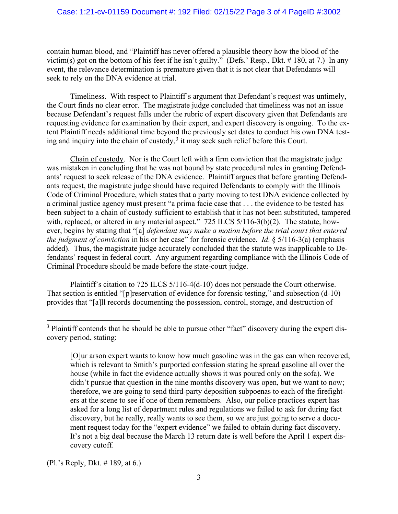## Case: 1:21-cv-01159 Document #: 192 Filed: 02/15/22 Page 3 of 4 PageID #:3002

contain human blood, and "Plaintiff has never offered a plausible theory how the blood of the victim(s) got on the bottom of his feet if he isn't guilty." (Defs.' Resp., Dkt. # 180, at 7.) In any event, the relevance determination is premature given that it is not clear that Defendants will seek to rely on the DNA evidence at trial.

Timeliness. With respect to Plaintiff's argument that Defendant's request was untimely, the Court finds no clear error. The magistrate judge concluded that timeliness was not an issue because Defendant's request falls under the rubric of expert discovery given that Defendants are requesting evidence for examination by their expert, and expert discovery is ongoing. To the extent Plaintiff needs additional time beyond the previously set dates to conduct his own DNA testing and inquiry into the chain of custody, $3$  it may seek such relief before this Court.

Chain of custody. Nor is the Court left with a firm conviction that the magistrate judge was mistaken in concluding that he was not bound by state procedural rules in granting Defendants' request to seek release of the DNA evidence. Plaintiff argues that before granting Defendants request, the magistrate judge should have required Defendants to comply with the Illinois Code of Criminal Procedure, which states that a party moving to test DNA evidence collected by a criminal justice agency must present "a prima facie case that . . . the evidence to be tested has been subject to a chain of custody sufficient to establish that it has not been substituted, tampered with, replaced, or altered in any material aspect." 725 ILCS 5/116-3(b)(2). The statute, however, begins by stating that "[a] *defendant may make a motion before the trial court that entered the judgment of conviction* in his or her case" for forensic evidence. *Id*. § 5/116-3(a) (emphasis added). Thus, the magistrate judge accurately concluded that the statute was inapplicable to Defendants' request in federal court. Any argument regarding compliance with the Illinois Code of Criminal Procedure should be made before the state-court judge.

Plaintiff's citation to 725 ILCS 5/116-4(d-10) does not persuade the Court otherwise. That section is entitled "[p]reservation of evidence for forensic testing," and subsection (d-10) provides that "[a]ll records documenting the possession, control, storage, and destruction of

(Pl.'s Reply, Dkt. # 189, at 6.)

<span id="page-2-0"></span><sup>&</sup>lt;sup>3</sup> Plaintiff contends that he should be able to pursue other "fact" discovery during the expert discovery period, stating:

<sup>[</sup>O]ur arson expert wants to know how much gasoline was in the gas can when recovered, which is relevant to Smith's purported confession stating he spread gasoline all over the house (while in fact the evidence actually shows it was poured only on the sofa). We didn't pursue that question in the nine months discovery was open, but we want to now; therefore, we are going to send third-party deposition subpoenas to each of the firefighters at the scene to see if one of them remembers. Also, our police practices expert has asked for a long list of department rules and regulations we failed to ask for during fact discovery, but he really, really wants to see them, so we are just going to serve a document request today for the "expert evidence" we failed to obtain during fact discovery. It's not a big deal because the March 13 return date is well before the April 1 expert discovery cutoff.